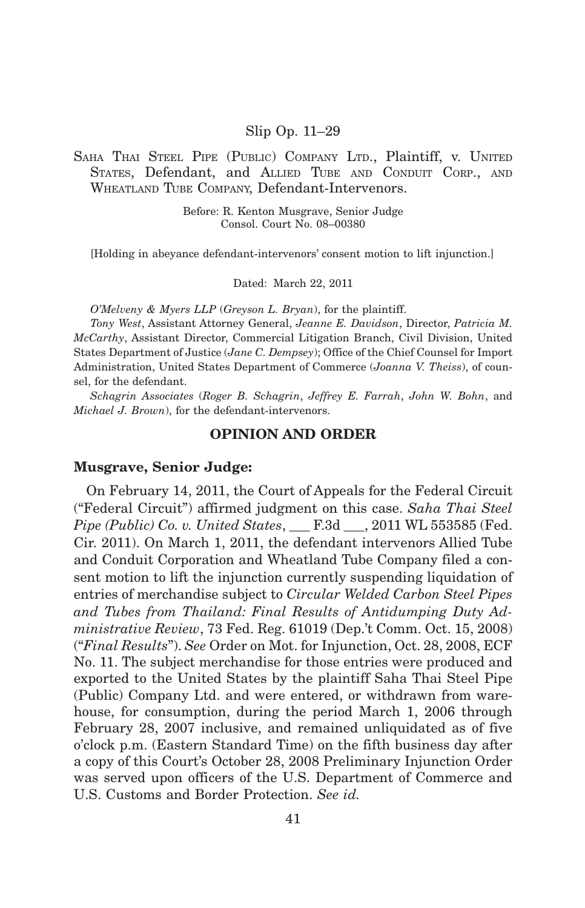### Slip Op. 11–29

# SAHA THAI STEEL PIPE (PUBLIC) COMPANY LTD., Plaintiff, v. UNITED STATES, Defendant, and ALLIED TUBE AND CONDUIT CORP., AND WHEATLAND TUBE COMPANY, Defendant-Intervenors.

Before: R. Kenton Musgrave, Senior Judge Consol. Court No. 08–00380

[Holding in abeyance defendant-intervenors' consent motion to lift injunction.]

Dated: March 22, 2011

*O'Melveny & Myers LLP* (*Greyson L. Bryan*), for the plaintiff.

*Tony West*, Assistant Attorney General, *Jeanne E. Davidson*, Director, *Patricia M. McCarthy*, Assistant Director, Commercial Litigation Branch, Civil Division, United States Department of Justice (*Jane C. Dempsey*); Office of the Chief Counsel for Import Administration, United States Department of Commerce (*Joanna V. Theiss*), of counsel, for the defendant.

*Schagrin Associates* (*Roger B. Schagrin*, *Jeffrey E. Farrah*, *John W. Bohn*, and *Michael J. Brown*), for the defendant-intervenors.

# **OPINION AND ORDER**

#### **Musgrave, Senior Judge:**

On February 14, 2011, the Court of Appeals for the Federal Circuit ("Federal Circuit") affirmed judgment on this case. *Saha Thai Steel Pipe (Public) Co. v. United States*, \_\_\_ F.3d \_\_\_, 2011 WL 553585 (Fed. Cir. 2011). On March 1, 2011, the defendant intervenors Allied Tube and Conduit Corporation and Wheatland Tube Company filed a consent motion to lift the injunction currently suspending liquidation of entries of merchandise subject to *Circular Welded Carbon Steel Pipes and Tubes from Thailand: Final Results of Antidumping Duty Administrative Review*, 73 Fed. Reg. 61019 (Dep.'t Comm. Oct. 15, 2008) ("*Final Results*"). *See* Order on Mot. for Injunction, Oct. 28, 2008, ECF No. 11. The subject merchandise for those entries were produced and exported to the United States by the plaintiff Saha Thai Steel Pipe (Public) Company Ltd. and were entered, or withdrawn from warehouse, for consumption, during the period March 1, 2006 through February 28, 2007 inclusive, and remained unliquidated as of five o'clock p.m. (Eastern Standard Time) on the fifth business day after a copy of this Court's October 28, 2008 Preliminary Injunction Order was served upon officers of the U.S. Department of Commerce and U.S. Customs and Border Protection. *See id.*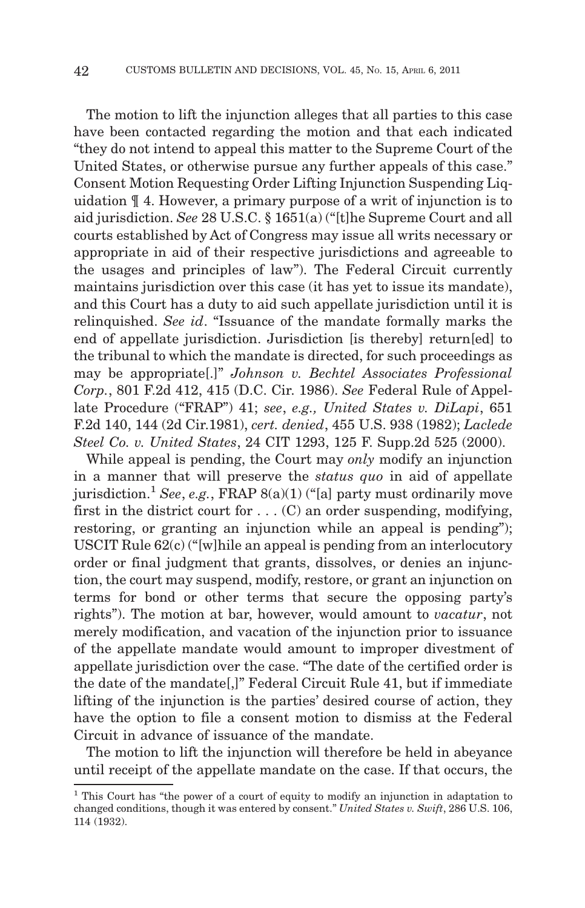The motion to lift the injunction alleges that all parties to this case have been contacted regarding the motion and that each indicated "they do not intend to appeal this matter to the Supreme Court of the United States, or otherwise pursue any further appeals of this case." Consent Motion Requesting Order Lifting Injunction Suspending Liquidation ¶ 4. However, a primary purpose of a writ of injunction is to aid jurisdiction. *See* 28 U.S.C. § 1651(a) ("[t]he Supreme Court and all courts established by Act of Congress may issue all writs necessary or appropriate in aid of their respective jurisdictions and agreeable to the usages and principles of law"). The Federal Circuit currently maintains jurisdiction over this case (it has yet to issue its mandate), and this Court has a duty to aid such appellate jurisdiction until it is relinquished. *See id*. "Issuance of the mandate formally marks the end of appellate jurisdiction. Jurisdiction [is thereby] return[ed] to the tribunal to which the mandate is directed, for such proceedings as may be appropriate[.]" *Johnson v. Bechtel Associates Professional Corp.*, 801 F.2d 412, 415 (D.C. Cir. 1986). *See* Federal Rule of Appellate Procedure ("FRAP") 41; *see*, *e.g., United States v. DiLapi*, 651 F.2d 140, 144 (2d Cir.1981), *cert. denied*, 455 U.S. 938 (1982); *Laclede Steel Co. v. United States*, 24 CIT 1293, 125 F. Supp.2d 525 (2000).

While appeal is pending, the Court may *only* modify an injunction in a manner that will preserve the *status quo* in aid of appellate jurisdiction.<sup>1</sup> See, e.g., FRAP 8(a)(1) ("[a] party must ordinarily move first in the district court for  $\dots$  (C) an order suspending, modifying, restoring, or granting an injunction while an appeal is pending"); USCIT Rule 62(c) ("[w]hile an appeal is pending from an interlocutory order or final judgment that grants, dissolves, or denies an injunction, the court may suspend, modify, restore, or grant an injunction on terms for bond or other terms that secure the opposing party's rights"). The motion at bar, however, would amount to *vacatur*, not merely modification, and vacation of the injunction prior to issuance of the appellate mandate would amount to improper divestment of appellate jurisdiction over the case. "The date of the certified order is the date of the mandate[,]" Federal Circuit Rule 41, but if immediate lifting of the injunction is the parties' desired course of action, they have the option to file a consent motion to dismiss at the Federal Circuit in advance of issuance of the mandate.

The motion to lift the injunction will therefore be held in abeyance until receipt of the appellate mandate on the case. If that occurs, the

<sup>1</sup> This Court has "the power of a court of equity to modify an injunction in adaptation to changed conditions, though it was entered by consent." *United States v. Swift*, 286 U.S. 106, 114 (1932).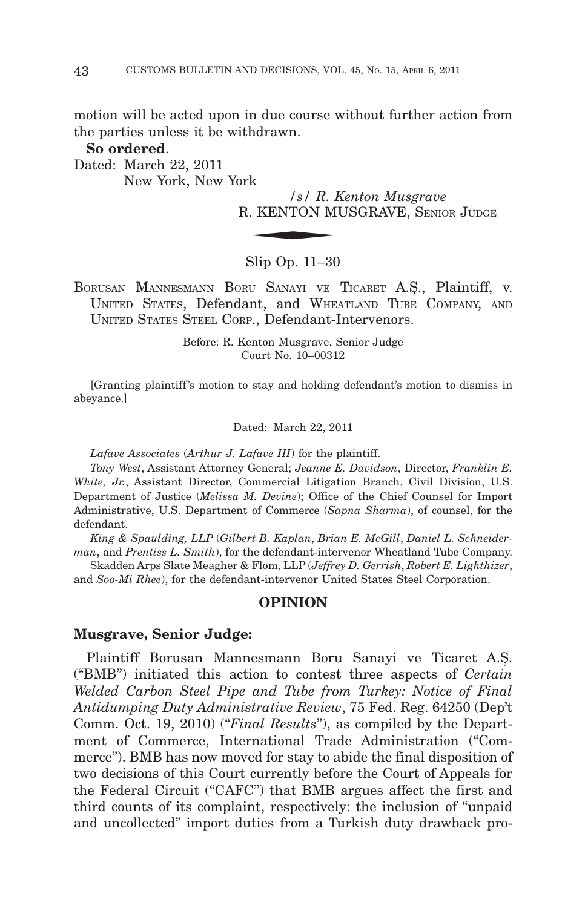motion will be acted upon in due course without further action from the parties unless it be withdrawn.

### **So ordered**.

Dated: March 22, 2011 New York, New York

*/s/ R. Kenton Musgrave* R. KENTON MUSGRAVE, S  $\begin{array}{ll} \mbox{rk} & \quad \mbox{ } / s / \; R. \; P. \end{array}$  <br> 2. KENTON M ENIOR JUDGE

### Slip Op. 11–30

BORUSAN MANNESMANN BORU SANAYI VE TICARET A.S,., Plaintiff, v. UNITED STATES, Defendant, and WHEATLAND TUBE COMPANY, AND UNITED STATES STEEL CORP., Defendant-Intervenors.

> Before: R. Kenton Musgrave, Senior Judge Court No. 10–00312

[Granting plaintiff 's motion to stay and holding defendant's motion to dismiss in abeyance.]

Dated: March 22, 2011

*Lafave Associates* (*Arthur J. Lafave III*) for the plaintiff.

*Tony West*, Assistant Attorney General; *Jeanne E. Davidson*, Director, *Franklin E. White, Jr.*, Assistant Director, Commercial Litigation Branch, Civil Division, U.S. Department of Justice (*Melissa M. Devine*); Office of the Chief Counsel for Import Administrative, U.S. Department of Commerce (*Sapna Sharma*), of counsel, for the defendant.

*King & Spaulding, LLP* (*Gilbert B. Kaplan*, *Brian E. McGill*, *Daniel L. Schneiderman*, and *Prentiss L. Smith*), for the defendant-intervenor Wheatland Tube Company.

Skadden Arps Slate Meagher & Flom, LLP (*Jeffrey D. Gerrish*, *Robert E. Lighthizer*, and *Soo-Mi Rhee*), for the defendant-intervenor United States Steel Corporation.

# **OPINION**

#### **Musgrave, Senior Judge:**

Plaintiff Borusan Mannesmann Boru Sanayi ve Ticaret A.S,. ("BMB") initiated this action to contest three aspects of *Certain Welded Carbon Steel Pipe and Tube from Turkey: Notice of Final Antidumping Duty Administrative Review*, 75 Fed. Reg. 64250 (Dep't Comm. Oct. 19, 2010) ("*Final Results*"), as compiled by the Department of Commerce, International Trade Administration ("Commerce"). BMB has now moved for stay to abide the final disposition of two decisions of this Court currently before the Court of Appeals for the Federal Circuit ("CAFC") that BMB argues affect the first and third counts of its complaint, respectively: the inclusion of "unpaid and uncollected" import duties from a Turkish duty drawback pro-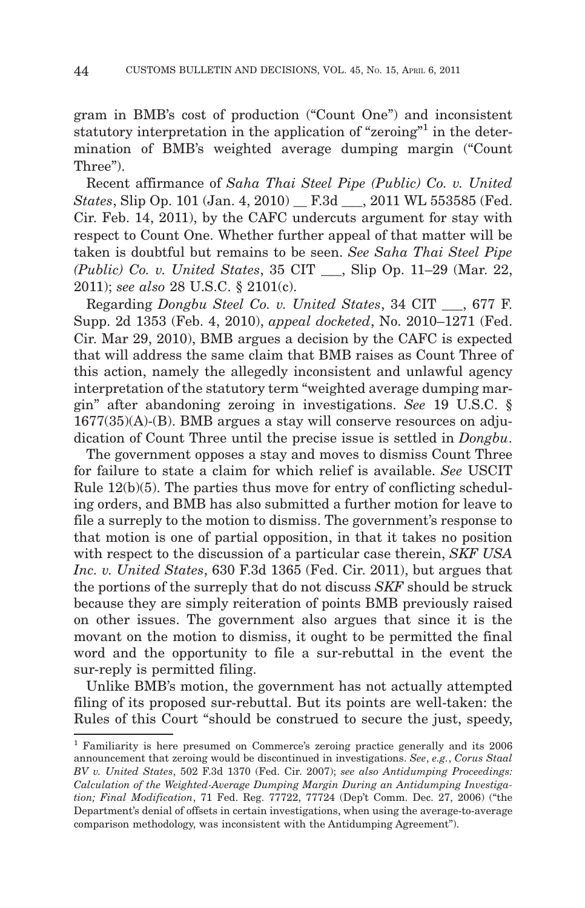gram in BMB's cost of production ("Count One") and inconsistent statutory interpretation in the application of "zeroing"<sup>1</sup> in the determination of BMB's weighted average dumping margin ("Count Three").

Recent affirmance of *Saha Thai Steel Pipe (Public) Co. v. United States*, Slip Op. 101 (Jan. 4, 2010) \_\_ F.3d \_\_\_, 2011 WL 553585 (Fed. Cir. Feb. 14, 2011), by the CAFC undercuts argument for stay with respect to Count One. Whether further appeal of that matter will be taken is doubtful but remains to be seen. *See Saha Thai Steel Pipe (Public) Co. v. United States*, 35 CIT \_\_\_, Slip Op. 11–29 (Mar. 22, 2011); *see also* 28 U.S.C. § 2101(c).

Regarding *Dongbu Steel Co. v. United States*, 34 CIT \_\_\_, 677 F. Supp. 2d 1353 (Feb. 4, 2010), *appeal docketed*, No. 2010–1271 (Fed. Cir. Mar 29, 2010), BMB argues a decision by the CAFC is expected that will address the same claim that BMB raises as Count Three of this action, namely the allegedly inconsistent and unlawful agency interpretation of the statutory term "weighted average dumping margin" after abandoning zeroing in investigations. *See* 19 U.S.C. § 1677(35)(A)-(B). BMB argues a stay will conserve resources on adjudication of Count Three until the precise issue is settled in *Dongbu*.

The government opposes a stay and moves to dismiss Count Three for failure to state a claim for which relief is available. *See* USCIT Rule 12(b)(5). The parties thus move for entry of conflicting scheduling orders, and BMB has also submitted a further motion for leave to file a surreply to the motion to dismiss. The government's response to that motion is one of partial opposition, in that it takes no position with respect to the discussion of a particular case therein, *SKF USA Inc. v. United States*, 630 F.3d 1365 (Fed. Cir. 2011), but argues that the portions of the surreply that do not discuss *SKF* should be struck because they are simply reiteration of points BMB previously raised on other issues. The government also argues that since it is the movant on the motion to dismiss, it ought to be permitted the final word and the opportunity to file a sur-rebuttal in the event the sur-reply is permitted filing.

Unlike BMB's motion, the government has not actually attempted filing of its proposed sur-rebuttal. But its points are well-taken: the Rules of this Court "should be construed to secure the just, speedy,

<sup>1</sup> Familiarity is here presumed on Commerce's zeroing practice generally and its 2006 announcement that zeroing would be discontinued in investigations. *See*, *e.g.*, *Corus Staal BV v. United States*, 502 F.3d 1370 (Fed. Cir. 2007); *see also Antidumping Proceedings: Calculation of the Weighted-Average Dumping Margin During an Antidumping Investigation; Final Modification*, 71 Fed. Reg. 77722, 77724 (Dep't Comm. Dec. 27, 2006) ("the Department's denial of offsets in certain investigations, when using the average-to-average comparison methodology, was inconsistent with the Antidumping Agreement").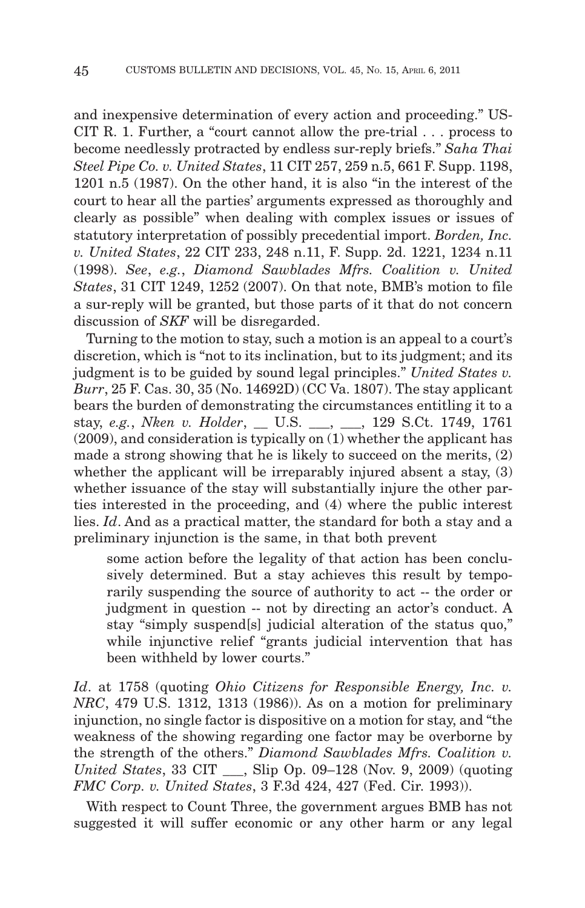and inexpensive determination of every action and proceeding." US-CIT R. 1. Further, a "court cannot allow the pre-trial... process to become needlessly protracted by endless sur-reply briefs." *Saha Thai Steel Pipe Co. v. United States*, 11 CIT 257, 259 n.5, 661 F. Supp. 1198, 1201 n.5 (1987). On the other hand, it is also "in the interest of the court to hear all the parties' arguments expressed as thoroughly and clearly as possible" when dealing with complex issues or issues of statutory interpretation of possibly precedential import. *Borden, Inc. v. United States*, 22 CIT 233, 248 n.11, F. Supp. 2d. 1221, 1234 n.11 (1998). *See*, *e.g.*, *Diamond Sawblades Mfrs. Coalition v. United States*, 31 CIT 1249, 1252 (2007). On that note, BMB's motion to file a sur-reply will be granted, but those parts of it that do not concern discussion of *SKF* will be disregarded.

Turning to the motion to stay, such a motion is an appeal to a court's discretion, which is "not to its inclination, but to its judgment; and its judgment is to be guided by sound legal principles." *United States v. Burr*, 25 F. Cas. 30, 35 (No. 14692D) (CC Va. 1807). The stay applicant bears the burden of demonstrating the circumstances entitling it to a stay, *e.g.*, *Nken v. Holder*, \_\_ U.S. \_\_\_, \_\_\_, 129 S.Ct. 1749, 1761 (2009), and consideration is typically on (1) whether the applicant has made a strong showing that he is likely to succeed on the merits, (2) whether the applicant will be irreparably injured absent a stay, (3) whether issuance of the stay will substantially injure the other parties interested in the proceeding, and (4) where the public interest lies. *Id*. And as a practical matter, the standard for both a stay and a preliminary injunction is the same, in that both prevent

some action before the legality of that action has been conclusively determined. But a stay achieves this result by temporarily suspending the source of authority to act -- the order or judgment in question -- not by directing an actor's conduct. A stay "simply suspend[s] judicial alteration of the status quo," while injunctive relief "grants judicial intervention that has been withheld by lower courts."

*Id*. at 1758 (quoting *Ohio Citizens for Responsible Energy, Inc. v. NRC*, 479 U.S. 1312, 1313 (1986)). As on a motion for preliminary injunction, no single factor is dispositive on a motion for stay, and "the weakness of the showing regarding one factor may be overborne by the strength of the others." *Diamond Sawblades Mfrs. Coalition v. United States*, 33 CIT \_\_\_, Slip Op. 09–128 (Nov. 9, 2009) (quoting *FMC Corp. v. United States*, 3 F.3d 424, 427 (Fed. Cir. 1993)).

With respect to Count Three, the government argues BMB has not suggested it will suffer economic or any other harm or any legal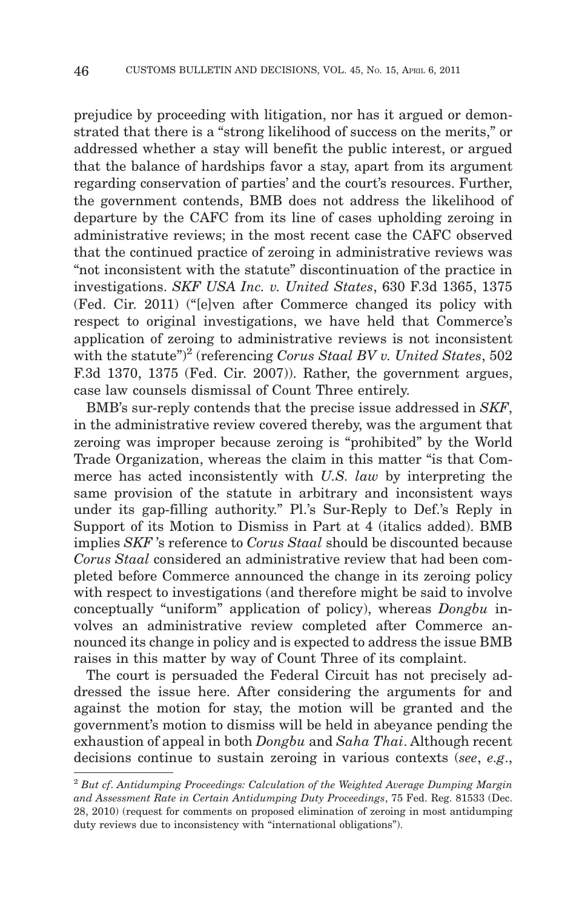prejudice by proceeding with litigation, nor has it argued or demonstrated that there is a "strong likelihood of success on the merits," or addressed whether a stay will benefit the public interest, or argued that the balance of hardships favor a stay, apart from its argument regarding conservation of parties' and the court's resources. Further, the government contends, BMB does not address the likelihood of departure by the CAFC from its line of cases upholding zeroing in administrative reviews; in the most recent case the CAFC observed that the continued practice of zeroing in administrative reviews was "not inconsistent with the statute" discontinuation of the practice in investigations. *SKF USA Inc. v. United States*, 630 F.3d 1365, 1375 (Fed. Cir. 2011) ("[e]ven after Commerce changed its policy with respect to original investigations, we have held that Commerce's application of zeroing to administrative reviews is not inconsistent with the statute")<sup>2</sup> (referencing *Corus Staal BV v. United States*, 502 F.3d 1370, 1375 (Fed. Cir. 2007)). Rather, the government argues, case law counsels dismissal of Count Three entirely.

BMB's sur-reply contends that the precise issue addressed in *SKF*, in the administrative review covered thereby, was the argument that zeroing was improper because zeroing is "prohibited" by the World Trade Organization, whereas the claim in this matter "is that Commerce has acted inconsistently with *U.S. law* by interpreting the same provision of the statute in arbitrary and inconsistent ways under its gap-filling authority." Pl.'s Sur-Reply to Def.'s Reply in Support of its Motion to Dismiss in Part at 4 (italics added). BMB implies *SKF* 's reference to *Corus Staal* should be discounted because *Corus Staal* considered an administrative review that had been completed before Commerce announced the change in its zeroing policy with respect to investigations (and therefore might be said to involve conceptually "uniform" application of policy), whereas *Dongbu* involves an administrative review completed after Commerce announced its change in policy and is expected to address the issue BMB raises in this matter by way of Count Three of its complaint.

The court is persuaded the Federal Circuit has not precisely addressed the issue here. After considering the arguments for and against the motion for stay, the motion will be granted and the government's motion to dismiss will be held in abeyance pending the exhaustion of appeal in both *Dongbu* and *Saha Thai*. Although recent decisions continue to sustain zeroing in various contexts (*see*, *e.g*.,

<sup>2</sup> *But cf*. *Antidumping Proceedings: Calculation of the Weighted Average Dumping Margin and Assessment Rate in Certain Antidumping Duty Proceedings*, 75 Fed. Reg. 81533 (Dec. 28, 2010) (request for comments on proposed elimination of zeroing in most antidumping duty reviews due to inconsistency with "international obligations").